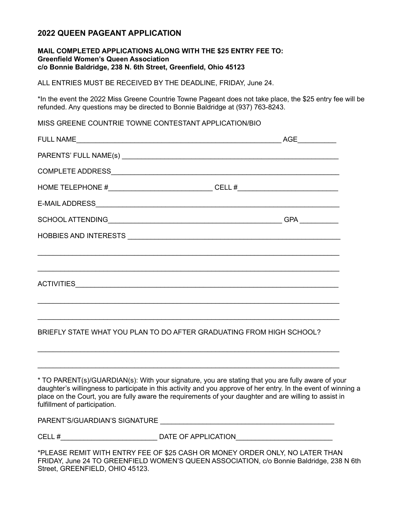# **2022 QUEEN PAGEANT APPLICATION**

### **MAIL COMPLETED APPLICATIONS ALONG WITH THE \$25 ENTRY FEE TO: Greenfield Women's Queen Association c/o Bonnie Baldridge, 238 N. 6th Street, Greenfield, Ohio 45123**

ALL ENTRIES MUST BE RECEIVED BY THE DEADLINE, FRIDAY, June 24.

\*In the event the 2022 Miss Greene Countrie Towne Pageant does not take place, the \$25 entry fee will be refunded. Any questions may be directed to Bonnie Baldridge at (937) 763-8243.

MISS GREENE COUNTRIE TOWNE CONTESTANT APPLICATION/BIO

|                                                                                  | AGE |
|----------------------------------------------------------------------------------|-----|
|                                                                                  |     |
|                                                                                  |     |
| HOME TELEPHONE #_______________________________CELL #___________________________ |     |
|                                                                                  |     |
|                                                                                  |     |
|                                                                                  |     |
|                                                                                  |     |
|                                                                                  |     |
| ACTIVITIES ACTIVITIES                                                            |     |
|                                                                                  |     |
|                                                                                  |     |

BRIEFLY STATE WHAT YOU PLAN TO DO AFTER GRADUATING FROM HIGH SCHOOL?

\_\_\_\_\_\_\_\_\_\_\_\_\_\_\_\_\_\_\_\_\_\_\_\_\_\_\_\_\_\_\_\_\_\_\_\_\_\_\_\_\_\_\_\_\_\_\_\_\_\_\_\_\_\_\_\_\_\_\_\_\_\_\_\_\_\_\_\_\_\_\_\_\_\_\_\_\_\_

\_\_\_\_\_\_\_\_\_\_\_\_\_\_\_\_\_\_\_\_\_\_\_\_\_\_\_\_\_\_\_\_\_\_\_\_\_\_\_\_\_\_\_\_\_\_\_\_\_\_\_\_\_\_\_\_\_\_\_\_\_\_\_\_\_\_\_\_\_\_\_\_\_\_\_\_\_\_

\* TO PARENT(s)/GUARDIAN(s): With your signature, you are stating that you are fully aware of your daughter's willingness to participate in this activity and you approve of her entry. In the event of winning a place on the Court, you are fully aware the requirements of your daughter and are willing to assist in fulfillment of participation.

PARENT'S/GUARDIAN'S SIGNATURE \_\_\_\_\_\_\_\_\_\_\_\_\_\_\_\_\_\_\_\_\_\_\_\_\_\_\_\_\_\_\_\_\_\_\_\_\_\_\_\_\_\_\_\_\_

CELL #\_\_\_\_\_\_\_\_\_\_\_\_\_\_\_\_\_\_\_\_\_\_\_\_\_ DATE OF APPLICATION\_\_\_\_\_\_\_\_\_\_\_\_\_\_\_\_\_\_\_\_\_\_\_\_\_

\*PLEASE REMIT WITH ENTRY FEE OF \$25 CASH OR MONEY ORDER ONLY, NO LATER THAN FRIDAY, June 24 TO GREENFIELD WOMEN'S QUEEN ASSOCIATION, c/o Bonnie Baldridge, 238 N 6th Street, GREENFIELD, OHIO 45123.